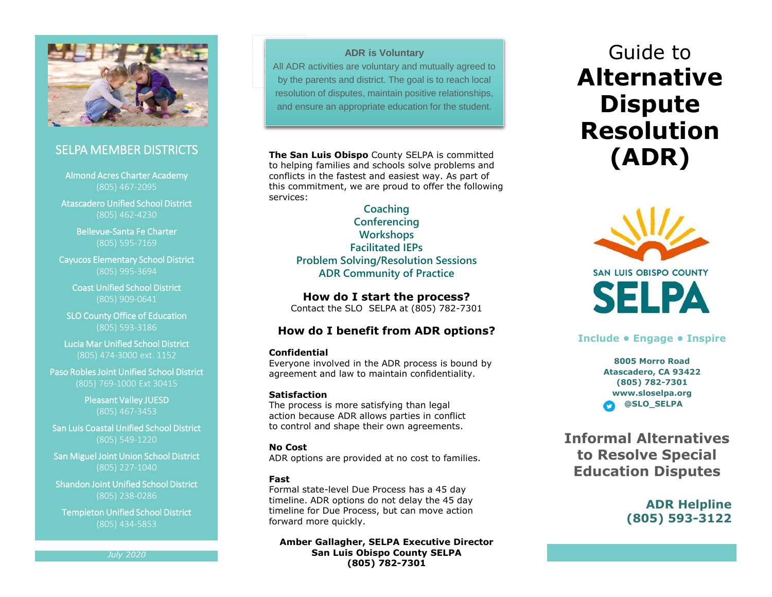

## SELPA MEMBER DISTRICTS

Almond Acres Charter Academy (805) 467-2095

Atascadero Unified School District (805) 462-4230

> Bellevue-Santa Fe Charter (805) 595-7169

Cayucos Elementary School District (805) 995-3694

Coast Unified School District (805) 909-0641

SLO County Office of Education (805) 593-3186

Lucia Mar Unified School District (805) 474-3000 ext. 1152

Paso Robles Joint Unified School District (805) 769-1000 Ext 30415

> Pleasant Valley JUESD (805) 467-3453

San Luis Coastal Unified School District (805) 549-1220

San Miguel Joint Union School District (805) 227-1040

Shandon Joint Unified School District (805) 238-0286

Templeton Unified School District (805) 434-5853

*July 2020*

## **ADR is Voluntary**

**ERE IS Voluntary<br>All ADR activities are voluntary and mutually agreed to** by the parents and district. The goal is to reach local resolution of disputes, maintain positive relationships, and ensure an appropriate education for the student.

**The San Luis Obispo** County SELPA is committed to helping families and schools solve problems and conflicts in the fastest and easiest way. As part of this commitment, we are proud to offer the following services:

**Coaching Conferencing Workshops Facilitated IEPs Problem Solving/Resolution Sessions ADR Community of Practice**

**How do I start the process?** Contact the SLO SELPA at (805) 782-7301

## **How do I benefit from ADR options?**

## **Confidential**

Everyone involved in the ADR process is bound by agreement and law to maintain confidentiality.

## **Satisfaction**

The process is more satisfying than legal action because ADR allows parties in conflict to control and shape their own agreements.

## **No Cost**

ADR options are provided at no cost to families.

## **Fast**

Formal state-level Due Process has a 45 day timeline. ADR options do not delay the 45 day timeline for Due Process, but can move action forward more quickly.

**Amber Gallagher, SELPA Executive Director San Luis Obispo County SELPA (805) 782-7301**

# Guide to **Alternative Dispute Resolution (ADR)**



## **Include • Engage • Inspire**

**8005 Morro Road Atascadero, CA 93422 (805) 782-7301 www.sloselpa.org @SLO\_SELPA**

**Informal Alternatives to Resolve Special Education Disputes**

> **ADR Helpline (805) 593-3122**